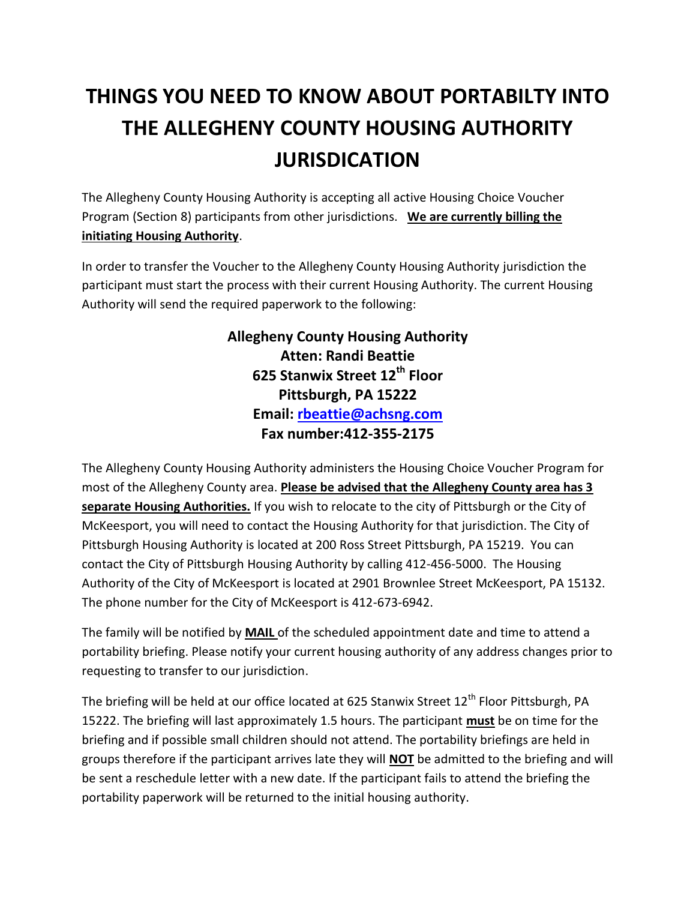## **THINGS YOU NEED TO KNOW ABOUT PORTABILTY INTO THE ALLEGHENY COUNTY HOUSING AUTHORITY JURISDICATION**

The Allegheny County Housing Authority is accepting all active Housing Choice Voucher Program (Section 8) participants from other jurisdictions. **We are currently billing the initiating Housing Authority**.

In order to transfer the Voucher to the Allegheny County Housing Authority jurisdiction the participant must start the process with their current Housing Authority. The current Housing Authority will send the required paperwork to the following:

> **Allegheny County Housing Authority Atten: Randi Beattie 625 Stanwix Street 12th Floor Pittsburgh, PA 15222 Email: [rbeattie@achsng.com](mailto:rbeattie@achsng.com) Fax number:412-355-2175**

The Allegheny County Housing Authority administers the Housing Choice Voucher Program for most of the Allegheny County area. **Please be advised that the Allegheny County area has 3 separate Housing Authorities.** If you wish to relocate to the city of Pittsburgh or the City of McKeesport, you will need to contact the Housing Authority for that jurisdiction. The City of Pittsburgh Housing Authority is located at 200 Ross Street Pittsburgh, PA 15219. You can contact the City of Pittsburgh Housing Authority by calling 412-456-5000. The Housing Authority of the City of McKeesport is located at 2901 Brownlee Street McKeesport, PA 15132. The phone number for the City of McKeesport is 412-673-6942.

The family will be notified by **MAIL** of the scheduled appointment date and time to attend a portability briefing. Please notify your current housing authority of any address changes prior to requesting to transfer to our jurisdiction.

The briefing will be held at our office located at 625 Stanwix Street  $12<sup>th</sup>$  Floor Pittsburgh, PA 15222. The briefing will last approximately 1.5 hours. The participant **must** be on time for the briefing and if possible small children should not attend. The portability briefings are held in groups therefore if the participant arrives late they will **NOT** be admitted to the briefing and will be sent a reschedule letter with a new date. If the participant fails to attend the briefing the portability paperwork will be returned to the initial housing authority.